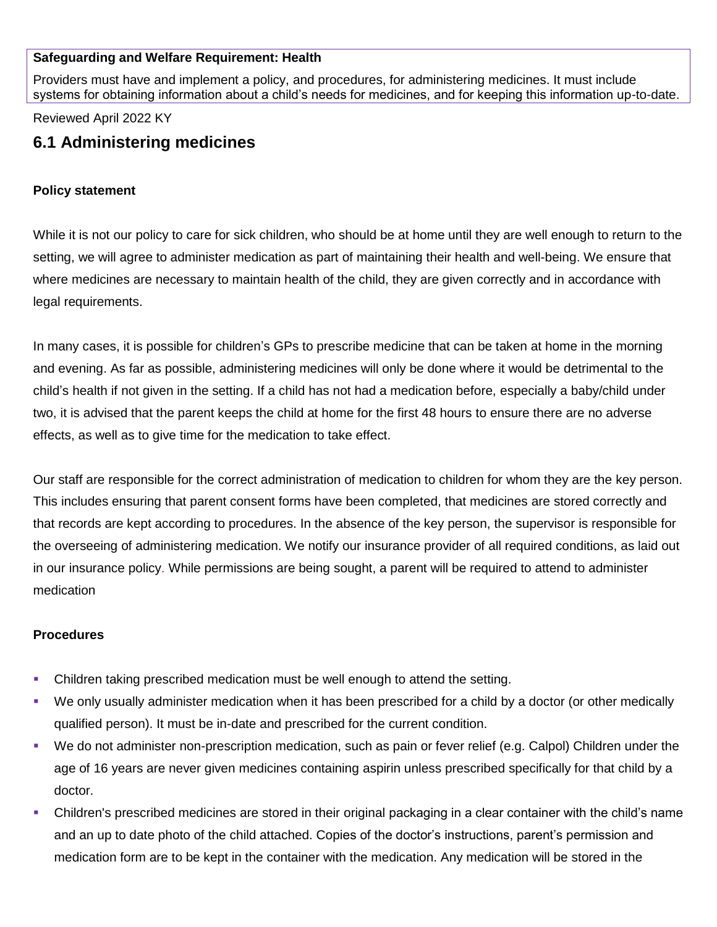# **Safeguarding and Welfare Requirement: Health**

Providers must have and implement a policy, and procedures, for administering medicines. It must include systems for obtaining information about a child's needs for medicines, and for keeping this information up-to-date.

### Reviewed April 2022 KY

# **6.1 Administering medicines**

#### **Policy statement**

While it is not our policy to care for sick children, who should be at home until they are well enough to return to the setting, we will agree to administer medication as part of maintaining their health and well-being. We ensure that where medicines are necessary to maintain health of the child, they are given correctly and in accordance with legal requirements.

In many cases, it is possible for children's GPs to prescribe medicine that can be taken at home in the morning and evening. As far as possible, administering medicines will only be done where it would be detrimental to the child's health if not given in the setting. If a child has not had a medication before, especially a baby/child under two, it is advised that the parent keeps the child at home for the first 48 hours to ensure there are no adverse effects, as well as to give time for the medication to take effect.

Our staff are responsible for the correct administration of medication to children for whom they are the key person. This includes ensuring that parent consent forms have been completed, that medicines are stored correctly and that records are kept according to procedures. In the absence of the key person, the supervisor is responsible for the overseeing of administering medication. We notify our insurance provider of all required conditions, as laid out in our insurance policy. While permissions are being sought, a parent will be required to attend to administer medication

# **Procedures**

- **Children taking prescribed medication must be well enough to attend the setting.**
- We only usually administer medication when it has been prescribed for a child by a doctor (or other medically qualified person). It must be in-date and prescribed for the current condition.
- We do not administer non-prescription medication, such as pain or fever relief (e.g. Calpol) Children under the age of 16 years are never given medicines containing aspirin unless prescribed specifically for that child by a doctor.
- Children's prescribed medicines are stored in their original packaging in a clear container with the child's name and an up to date photo of the child attached. Copies of the doctor's instructions, parent's permission and medication form are to be kept in the container with the medication. Any medication will be stored in the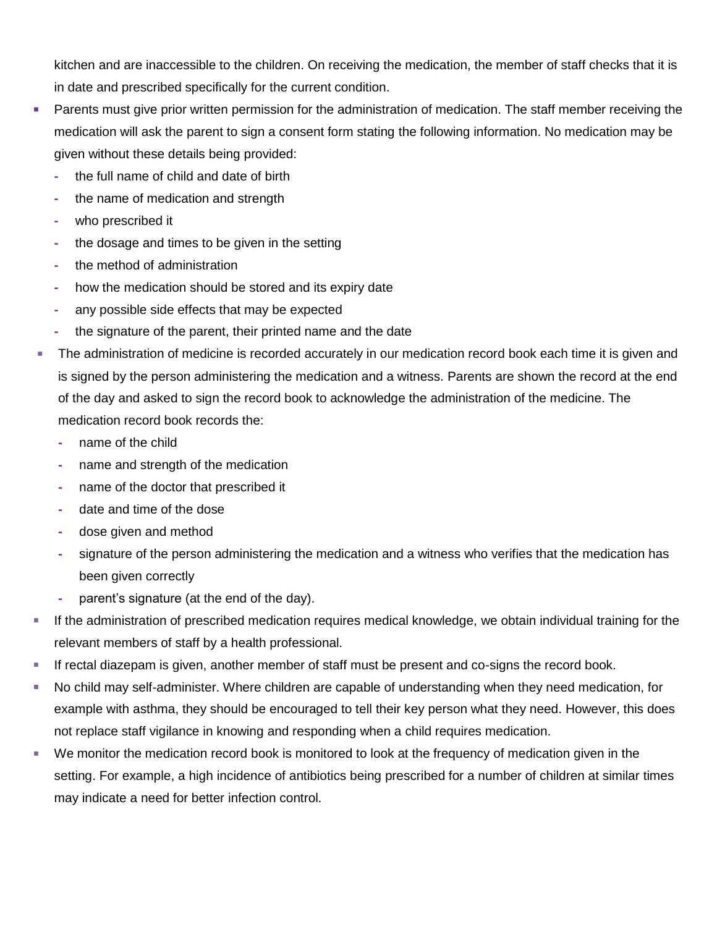kitchen and are inaccessible to the children. On receiving the medication, the member of staff checks that it is in date and prescribed specifically for the current condition.

- **EXT** Parents must give prior written permission for the administration of medication. The staff member receiving the medication will ask the parent to sign a consent form stating the following information. No medication may be given without these details being provided:
	- **-** the full name of child and date of birth
	- **-** the name of medication and strength
	- **-** who prescribed it
	- **-** the dosage and times to be given in the setting
	- **-** the method of administration
	- **-** how the medication should be stored and its expiry date
	- **-** any possible side effects that may be expected
	- **-** the signature of the parent, their printed name and the date
- **The administration of medicine is recorded accurately in our medication record book each time it is given and** is signed by the person administering the medication and a witness. Parents are shown the record at the end of the day and asked to sign the record book to acknowledge the administration of the medicine. The medication record book records the:
	- **-** name of the child
	- **-** name and strength of the medication
	- **-** name of the doctor that prescribed it
	- **-** date and time of the dose
	- **-** dose given and method
	- **-** signature of the person administering the medication and a witness who verifies that the medication has been given correctly
	- **-** parent's signature (at the end of the day).
- **EXECT** If the administration of prescribed medication requires medical knowledge, we obtain individual training for the relevant members of staff by a health professional.
- **EXECT** If rectal diazepam is given, another member of staff must be present and co-signs the record book.
- No child may self-administer. Where children are capable of understanding when they need medication, for example with asthma, they should be encouraged to tell their key person what they need. However, this does not replace staff vigilance in knowing and responding when a child requires medication.
- We monitor the medication record book is monitored to look at the frequency of medication given in the setting. For example, a high incidence of antibiotics being prescribed for a number of children at similar times may indicate a need for better infection control.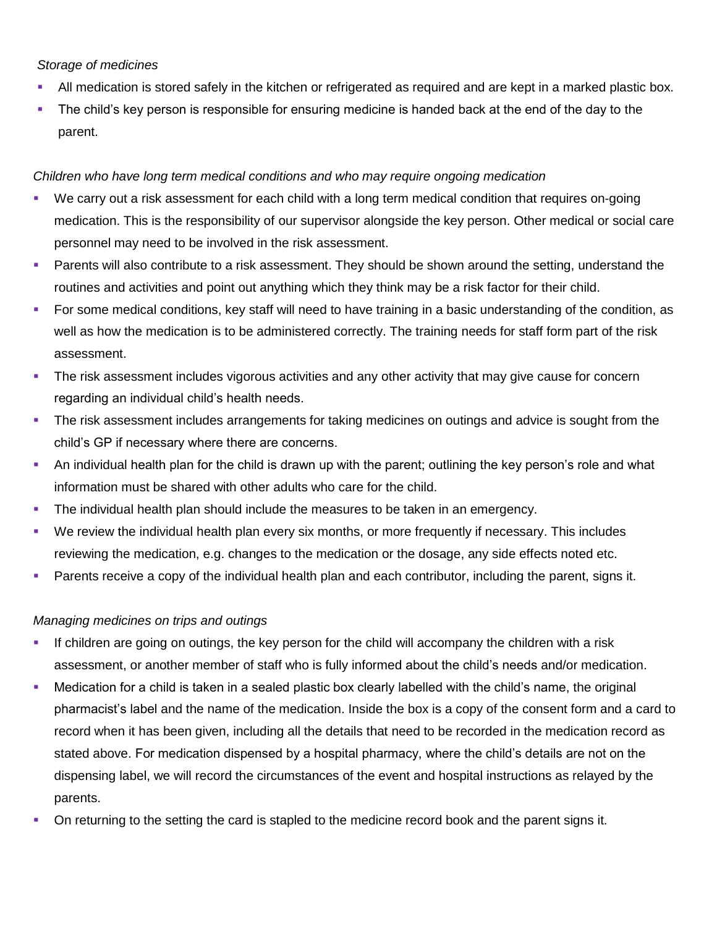# *Storage of medicines*

- All medication is stored safely in the kitchen or refrigerated as required and are kept in a marked plastic box.
- The child's key person is responsible for ensuring medicine is handed back at the end of the day to the parent.

### *Children who have long term medical conditions and who may require ongoing medication*

- We carry out a risk assessment for each child with a long term medical condition that requires on-going medication. This is the responsibility of our supervisor alongside the key person. Other medical or social care personnel may need to be involved in the risk assessment.
- **•** Parents will also contribute to a risk assessment. They should be shown around the setting, understand the routines and activities and point out anything which they think may be a risk factor for their child.
- For some medical conditions, key staff will need to have training in a basic understanding of the condition, as well as how the medication is to be administered correctly. The training needs for staff form part of the risk assessment.
- **•** The risk assessment includes vigorous activities and any other activity that may give cause for concern regarding an individual child's health needs.
- **The risk assessment includes arrangements for taking medicines on outings and advice is sought from the** child's GP if necessary where there are concerns.
- An individual health plan for the child is drawn up with the parent; outlining the key person's role and what information must be shared with other adults who care for the child.
- **The individual health plan should include the measures to be taken in an emergency.**
- We review the individual health plan every six months, or more frequently if necessary. This includes reviewing the medication, e.g. changes to the medication or the dosage, any side effects noted etc.
- Parents receive a copy of the individual health plan and each contributor, including the parent, signs it.

# *Managing medicines on trips and outings*

- **■** If children are going on outings, the key person for the child will accompany the children with a risk assessment, or another member of staff who is fully informed about the child's needs and/or medication.
- Medication for a child is taken in a sealed plastic box clearly labelled with the child's name, the original pharmacist's label and the name of the medication. Inside the box is a copy of the consent form and a card to record when it has been given, including all the details that need to be recorded in the medication record as stated above. For medication dispensed by a hospital pharmacy, where the child's details are not on the dispensing label, we will record the circumstances of the event and hospital instructions as relayed by the parents.
- **•** On returning to the setting the card is stapled to the medicine record book and the parent signs it.